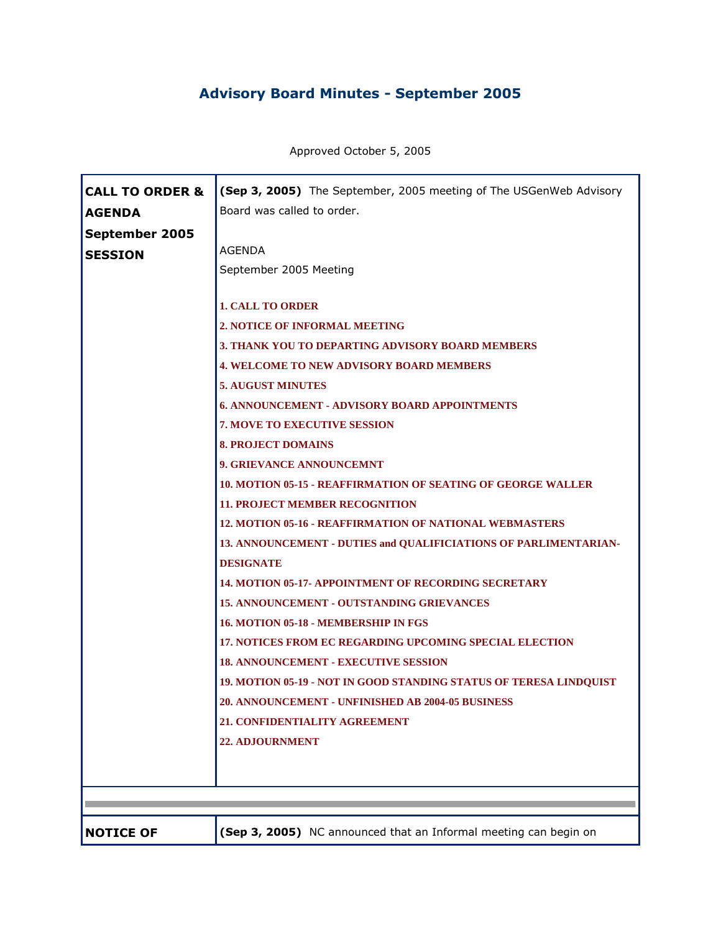## **Advisory Board Minutes - September 2005**

Approved October 5, 2005

| <b>CALL TO ORDER &amp;</b> | (Sep 3, 2005) The September, 2005 meeting of The USGenWeb Advisory                                                                                                                                                                                                                                                                                                                                                                                                                                                                                                                                                                                                                                                                                                                                                                                                                                                                                                                                                                                                                       |
|----------------------------|------------------------------------------------------------------------------------------------------------------------------------------------------------------------------------------------------------------------------------------------------------------------------------------------------------------------------------------------------------------------------------------------------------------------------------------------------------------------------------------------------------------------------------------------------------------------------------------------------------------------------------------------------------------------------------------------------------------------------------------------------------------------------------------------------------------------------------------------------------------------------------------------------------------------------------------------------------------------------------------------------------------------------------------------------------------------------------------|
| <b>AGENDA</b>              | Board was called to order.                                                                                                                                                                                                                                                                                                                                                                                                                                                                                                                                                                                                                                                                                                                                                                                                                                                                                                                                                                                                                                                               |
| September 2005             | <b>AGENDA</b>                                                                                                                                                                                                                                                                                                                                                                                                                                                                                                                                                                                                                                                                                                                                                                                                                                                                                                                                                                                                                                                                            |
| <b>SESSION</b>             | September 2005 Meeting                                                                                                                                                                                                                                                                                                                                                                                                                                                                                                                                                                                                                                                                                                                                                                                                                                                                                                                                                                                                                                                                   |
|                            | <b>1. CALL TO ORDER</b><br>2. NOTICE OF INFORMAL MEETING<br><b>3. THANK YOU TO DEPARTING ADVISORY BOARD MEMBERS</b><br><b>4. WELCOME TO NEW ADVISORY BOARD MEMBERS</b><br><b>5. AUGUST MINUTES</b><br><b>6. ANNOUNCEMENT - ADVISORY BOARD APPOINTMENTS</b><br><b>7. MOVE TO EXECUTIVE SESSION</b><br><b>8. PROJECT DOMAINS</b><br>9. GRIEVANCE ANNOUNCEMNT<br><b>10. MOTION 05-15 - REAFFIRMATION OF SEATING OF GEORGE WALLER</b><br><b>11. PROJECT MEMBER RECOGNITION</b><br>12. MOTION 05-16 - REAFFIRMATION OF NATIONAL WEBMASTERS<br>13. ANNOUNCEMENT - DUTIES and QUALIFICIATIONS OF PARLIMENTARIAN-<br><b>DESIGNATE</b><br><b>14. MOTION 05-17- APPOINTMENT OF RECORDING SECRETARY</b><br><b>15. ANNOUNCEMENT - OUTSTANDING GRIEVANCES</b><br>16. MOTION 05-18 - MEMBERSHIP IN FGS<br><b>17. NOTICES FROM EC REGARDING UPCOMING SPECIAL ELECTION</b><br><b>18. ANNOUNCEMENT - EXECUTIVE SESSION</b><br>19. MOTION 05-19 - NOT IN GOOD STANDING STATUS OF TERESA LINDQUIST<br>20. ANNOUNCEMENT - UNFINISHED AB 2004-05 BUSINESS<br>21. CONFIDENTIALITY AGREEMENT<br>22. ADJOURNMENT |
| <b>NOTICE OF</b>           | (Sep 3, 2005) NC announced that an Informal meeting can begin on                                                                                                                                                                                                                                                                                                                                                                                                                                                                                                                                                                                                                                                                                                                                                                                                                                                                                                                                                                                                                         |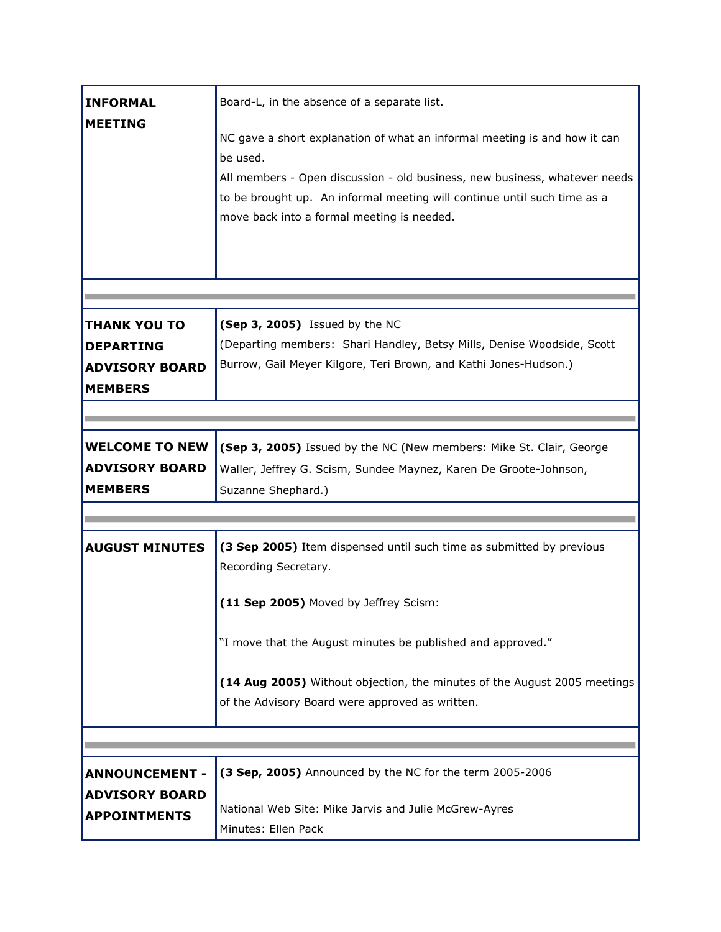| <b>INFORMAL</b>       | Board-L, in the absence of a separate list.                                |
|-----------------------|----------------------------------------------------------------------------|
| <b>MEETING</b>        |                                                                            |
|                       | NC gave a short explanation of what an informal meeting is and how it can  |
|                       | be used.                                                                   |
|                       | All members - Open discussion - old business, new business, whatever needs |
|                       | to be brought up. An informal meeting will continue until such time as a   |
|                       | move back into a formal meeting is needed.                                 |
|                       |                                                                            |
|                       |                                                                            |
|                       |                                                                            |
|                       |                                                                            |
| <b>THANK YOU TO</b>   | (Sep 3, 2005) Issued by the NC                                             |
| <b>DEPARTING</b>      | (Departing members: Shari Handley, Betsy Mills, Denise Woodside, Scott     |
| <b>ADVISORY BOARD</b> | Burrow, Gail Meyer Kilgore, Teri Brown, and Kathi Jones-Hudson.)           |
| <b>MEMBERS</b>        |                                                                            |
|                       |                                                                            |
| <b>WELCOME TO NEW</b> | (Sep 3, 2005) Issued by the NC (New members: Mike St. Clair, George        |
| <b>ADVISORY BOARD</b> | Waller, Jeffrey G. Scism, Sundee Maynez, Karen De Groote-Johnson,          |
| <b>MEMBERS</b>        | Suzanne Shephard.)                                                         |
|                       |                                                                            |
|                       |                                                                            |
| <b>AUGUST MINUTES</b> | (3 Sep 2005) Item dispensed until such time as submitted by previous       |
|                       | Recording Secretary.                                                       |
|                       | (11 Sep 2005) Moved by Jeffrey Scism:                                      |
|                       |                                                                            |
|                       | "I move that the August minutes be published and approved."                |
|                       |                                                                            |
|                       | (14 Aug 2005) Without objection, the minutes of the August 2005 meetings   |
|                       | of the Advisory Board were approved as written.                            |
|                       |                                                                            |
|                       |                                                                            |
| <b>ANNOUNCEMENT -</b> | (3 Sep, 2005) Announced by the NC for the term 2005-2006                   |
| <b>ADVISORY BOARD</b> |                                                                            |
| <b>APPOINTMENTS</b>   | National Web Site: Mike Jarvis and Julie McGrew-Ayres                      |
|                       | Minutes: Ellen Pack                                                        |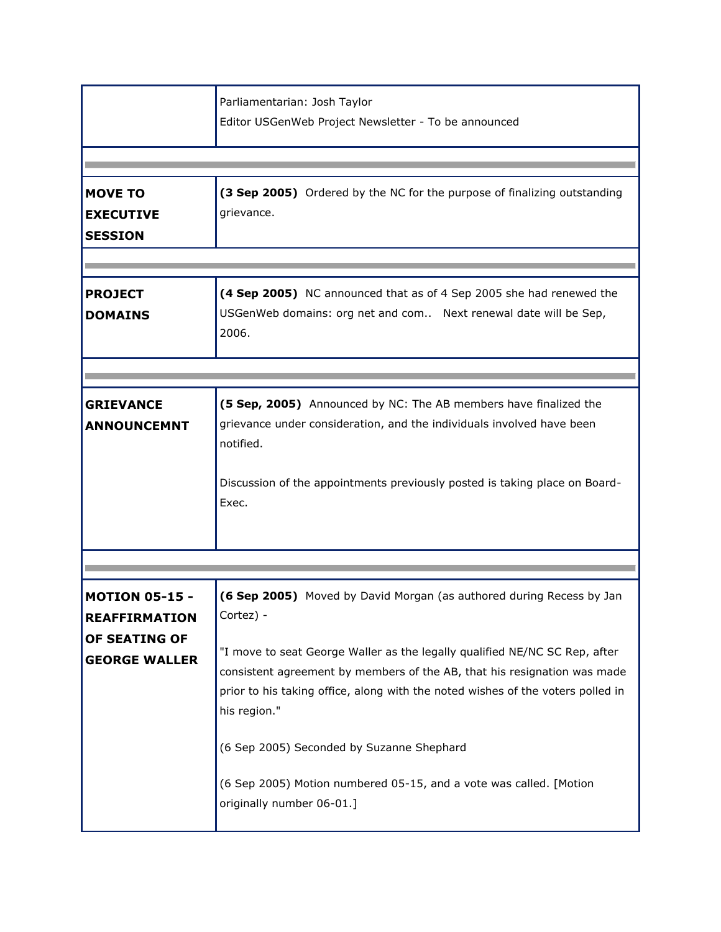| Parliamentarian: Josh Taylor<br>Editor USGenWeb Project Newsletter - To be announced                                                                                                                                                                                                                                                                                                                                                                                                           |
|------------------------------------------------------------------------------------------------------------------------------------------------------------------------------------------------------------------------------------------------------------------------------------------------------------------------------------------------------------------------------------------------------------------------------------------------------------------------------------------------|
|                                                                                                                                                                                                                                                                                                                                                                                                                                                                                                |
| (3 Sep 2005) Ordered by the NC for the purpose of finalizing outstanding<br>grievance.                                                                                                                                                                                                                                                                                                                                                                                                         |
| (4 Sep 2005) NC announced that as of 4 Sep 2005 she had renewed the<br>USGenWeb domains: org net and com Next renewal date will be Sep,<br>2006.                                                                                                                                                                                                                                                                                                                                               |
|                                                                                                                                                                                                                                                                                                                                                                                                                                                                                                |
| (5 Sep, 2005) Announced by NC: The AB members have finalized the<br>grievance under consideration, and the individuals involved have been<br>notified.<br>Discussion of the appointments previously posted is taking place on Board-<br>Exec.                                                                                                                                                                                                                                                  |
| (6 Sep 2005) Moved by David Morgan (as authored during Recess by Jan<br>Cortez) -<br>"I move to seat George Waller as the legally qualified NE/NC SC Rep, after<br>consistent agreement by members of the AB, that his resignation was made<br>prior to his taking office, along with the noted wishes of the voters polled in<br>his region."<br>(6 Sep 2005) Seconded by Suzanne Shephard<br>(6 Sep 2005) Motion numbered 05-15, and a vote was called. [Motion<br>originally number 06-01.] |
|                                                                                                                                                                                                                                                                                                                                                                                                                                                                                                |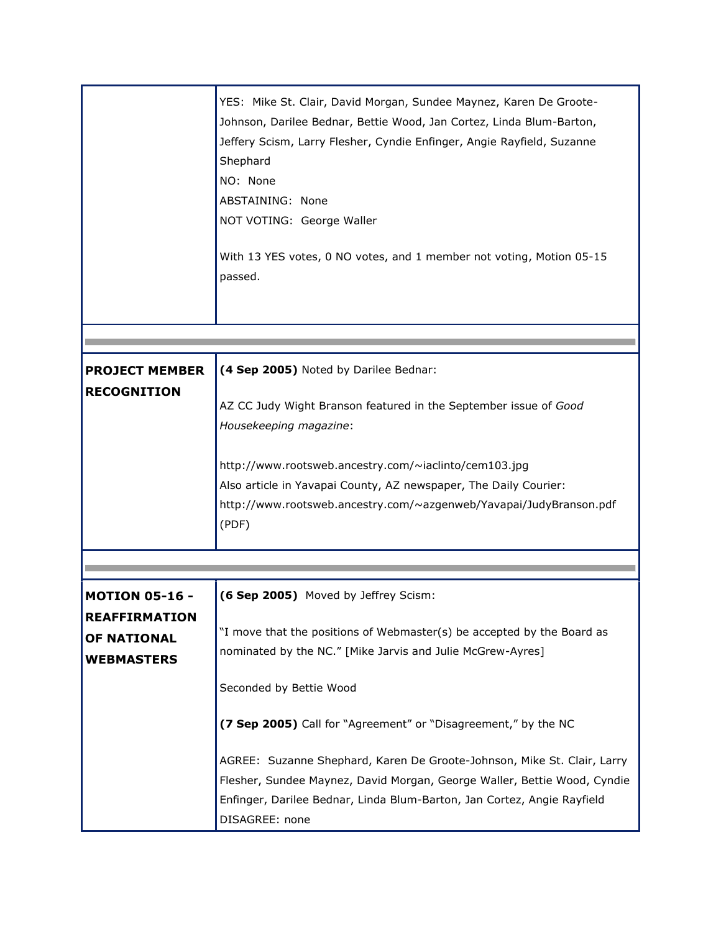|                                                                                   | YES: Mike St. Clair, David Morgan, Sundee Maynez, Karen De Groote-<br>Johnson, Darilee Bednar, Bettie Wood, Jan Cortez, Linda Blum-Barton,<br>Jeffery Scism, Larry Flesher, Cyndie Enfinger, Angie Rayfield, Suzanne<br>Shephard<br>NO: None<br>ABSTAINING: None<br>NOT VOTING: George Waller<br>With 13 YES votes, 0 NO votes, and 1 member not voting, Motion 05-15<br>passed. |
|-----------------------------------------------------------------------------------|----------------------------------------------------------------------------------------------------------------------------------------------------------------------------------------------------------------------------------------------------------------------------------------------------------------------------------------------------------------------------------|
|                                                                                   |                                                                                                                                                                                                                                                                                                                                                                                  |
| <b>PROJECT MEMBER</b><br><b>RECOGNITION</b>                                       | (4 Sep 2005) Noted by Darilee Bednar:<br>AZ CC Judy Wight Branson featured in the September issue of Good<br>Housekeeping magazine:                                                                                                                                                                                                                                              |
|                                                                                   | http://www.rootsweb.ancestry.com/~iaclinto/cem103.jpg<br>Also article in Yavapai County, AZ newspaper, The Daily Courier:<br>http://www.rootsweb.ancestry.com/~azgenweb/Yavapai/JudyBranson.pdf<br>(PDF)                                                                                                                                                                         |
|                                                                                   |                                                                                                                                                                                                                                                                                                                                                                                  |
| <b>MOTION 05-16 -</b><br><b>REAFFIRMATION</b><br>OF NATIONAL<br><b>WEBMASTERS</b> | (6 Sep 2005) Moved by Jeffrey Scism:<br>"I move that the positions of Webmaster(s) be accepted by the Board as<br>nominated by the NC." [Mike Jarvis and Julie McGrew-Ayres]<br>Seconded by Bettie Wood<br>(7 Sep 2005) Call for "Agreement" or "Disagreement," by the NC                                                                                                        |
|                                                                                   | AGREE: Suzanne Shephard, Karen De Groote-Johnson, Mike St. Clair, Larry<br>Flesher, Sundee Maynez, David Morgan, George Waller, Bettie Wood, Cyndie<br>Enfinger, Darilee Bednar, Linda Blum-Barton, Jan Cortez, Angie Rayfield<br>DISAGREE: none                                                                                                                                 |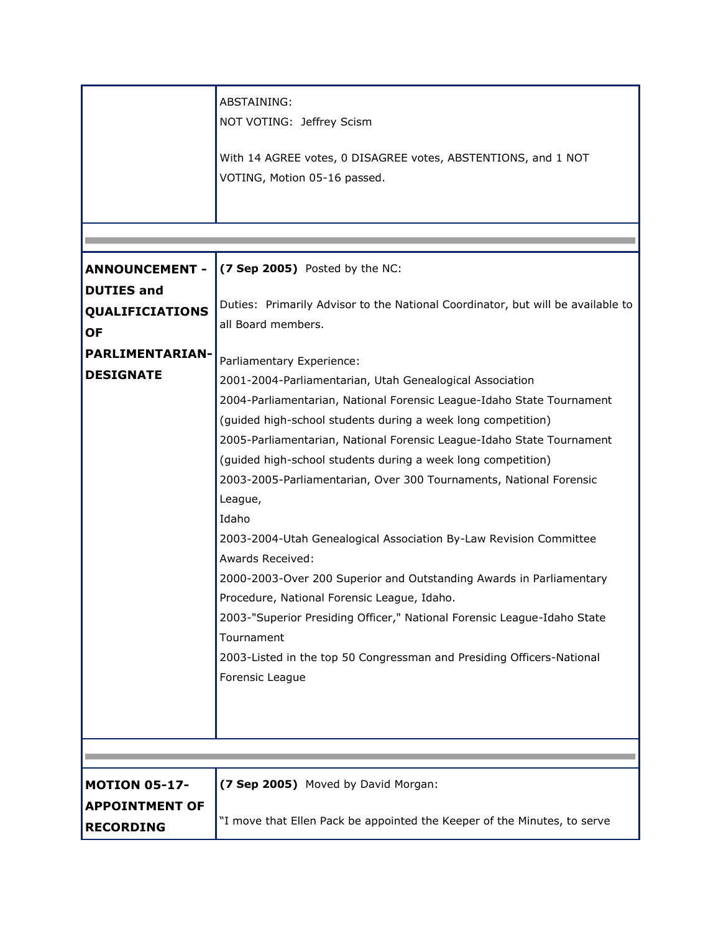|                                     | ABSTAINING:<br>NOT VOTING: Jeffrey Scism<br>With 14 AGREE votes, 0 DISAGREE votes, ABSTENTIONS, and 1 NOT<br>VOTING, Motion 05-16 passed. |
|-------------------------------------|-------------------------------------------------------------------------------------------------------------------------------------------|
| <b>ANNOUNCEMENT -</b>               | (7 Sep 2005) Posted by the NC:                                                                                                            |
| <b>DUTIES and</b>                   |                                                                                                                                           |
| <b>QUALIFICIATIONS</b><br><b>OF</b> | Duties: Primarily Advisor to the National Coordinator, but will be available to<br>all Board members.                                     |
| <b>PARLIMENTARIAN-</b>              | Parliamentary Experience:                                                                                                                 |
| <b>DESIGNATE</b>                    | 2001-2004-Parliamentarian, Utah Genealogical Association                                                                                  |
|                                     | 2004-Parliamentarian, National Forensic League-Idaho State Tournament                                                                     |
|                                     | (guided high-school students during a week long competition)                                                                              |
|                                     | 2005-Parliamentarian, National Forensic League-Idaho State Tournament                                                                     |
|                                     | (guided high-school students during a week long competition)                                                                              |
|                                     | 2003-2005-Parliamentarian, Over 300 Tournaments, National Forensic                                                                        |
|                                     | League,<br>Idaho                                                                                                                          |
|                                     | 2003-2004-Utah Genealogical Association By-Law Revision Committee                                                                         |
|                                     | Awards Received:                                                                                                                          |
|                                     | 2000-2003-Over 200 Superior and Outstanding Awards in Parliamentary                                                                       |
|                                     | Procedure, National Forensic League, Idaho.                                                                                               |
|                                     | 2003-"Superior Presiding Officer," National Forensic League-Idaho State                                                                   |
|                                     | Tournament                                                                                                                                |
|                                     | 2003-Listed in the top 50 Congressman and Presiding Officers-National<br>Forensic League                                                  |
|                                     |                                                                                                                                           |
|                                     |                                                                                                                                           |
|                                     |                                                                                                                                           |
|                                     |                                                                                                                                           |
| <b>MOTION 05-17-</b>                | (7 Sep 2005) Moved by David Morgan:                                                                                                       |
| <b>APPOINTMENT OF</b>               |                                                                                                                                           |
| <b>RECORDING</b>                    | "I move that Ellen Pack be appointed the Keeper of the Minutes, to serve                                                                  |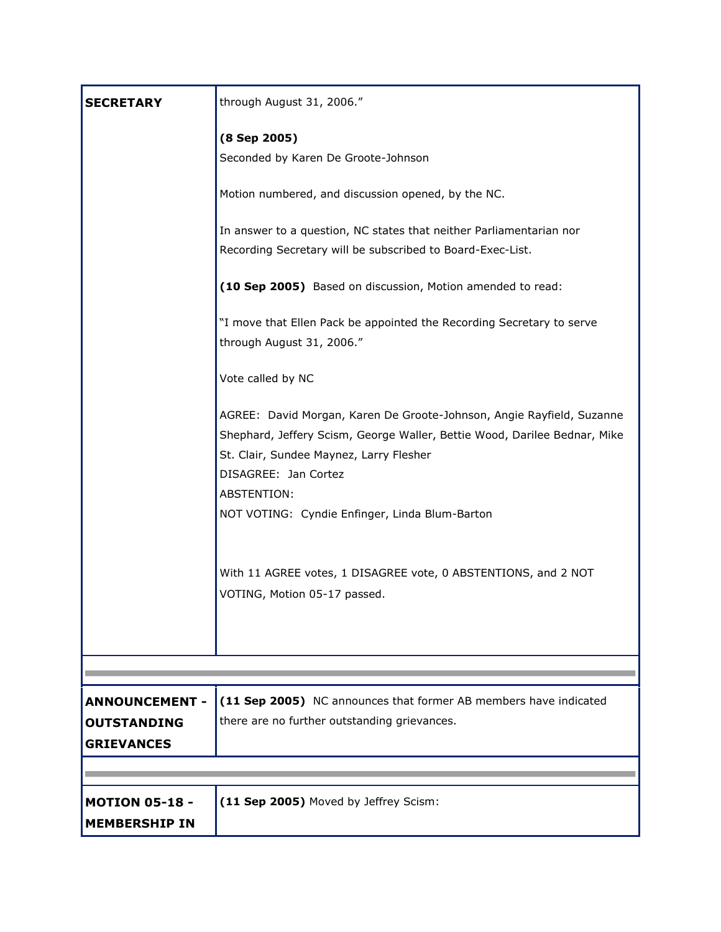| <b>SECRETARY</b>                                                 | through August 31, 2006."                                                                                                                                                                                                            |
|------------------------------------------------------------------|--------------------------------------------------------------------------------------------------------------------------------------------------------------------------------------------------------------------------------------|
|                                                                  | (8 Sep 2005)<br>Seconded by Karen De Groote-Johnson                                                                                                                                                                                  |
|                                                                  | Motion numbered, and discussion opened, by the NC.                                                                                                                                                                                   |
|                                                                  | In answer to a question, NC states that neither Parliamentarian nor<br>Recording Secretary will be subscribed to Board-Exec-List.                                                                                                    |
|                                                                  | (10 Sep 2005) Based on discussion, Motion amended to read:                                                                                                                                                                           |
|                                                                  | "I move that Ellen Pack be appointed the Recording Secretary to serve<br>through August 31, 2006."                                                                                                                                   |
|                                                                  | Vote called by NC                                                                                                                                                                                                                    |
|                                                                  | AGREE: David Morgan, Karen De Groote-Johnson, Angie Rayfield, Suzanne<br>Shephard, Jeffery Scism, George Waller, Bettie Wood, Darilee Bednar, Mike<br>St. Clair, Sundee Maynez, Larry Flesher<br>DISAGREE: Jan Cortez<br>ABSTENTION: |
|                                                                  | NOT VOTING: Cyndie Enfinger, Linda Blum-Barton                                                                                                                                                                                       |
|                                                                  | With 11 AGREE votes, 1 DISAGREE vote, 0 ABSTENTIONS, and 2 NOT<br>VOTING, Motion 05-17 passed.                                                                                                                                       |
|                                                                  |                                                                                                                                                                                                                                      |
| <b>ANNOUNCEMENT -</b><br><b>OUTSTANDING</b><br><b>GRIEVANCES</b> | (11 Sep 2005) NC announces that former AB members have indicated<br>there are no further outstanding grievances.                                                                                                                     |
|                                                                  |                                                                                                                                                                                                                                      |
| <b>MOTION 05-18 -</b><br><b>MEMBERSHIP IN</b>                    | (11 Sep 2005) Moved by Jeffrey Scism:                                                                                                                                                                                                |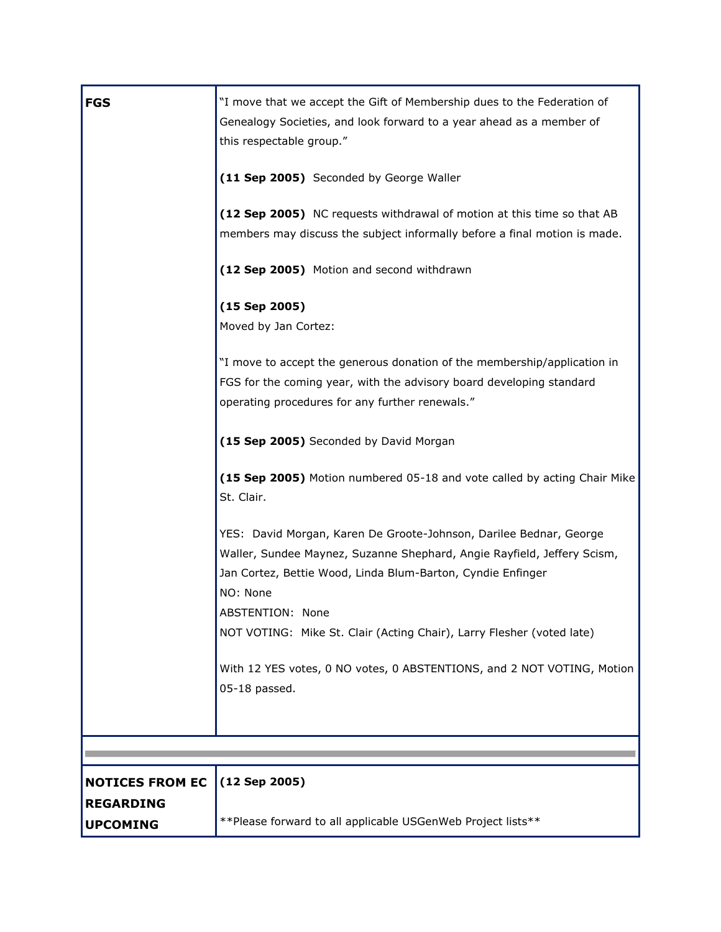| <b>FGS</b>                          | "I move that we accept the Gift of Membership dues to the Federation of<br>Genealogy Societies, and look forward to a year ahead as a member of<br>this respectable group."                                                                  |
|-------------------------------------|----------------------------------------------------------------------------------------------------------------------------------------------------------------------------------------------------------------------------------------------|
|                                     | (11 Sep 2005) Seconded by George Waller                                                                                                                                                                                                      |
|                                     | (12 Sep 2005) NC requests withdrawal of motion at this time so that AB<br>members may discuss the subject informally before a final motion is made.                                                                                          |
|                                     | (12 Sep 2005) Motion and second withdrawn                                                                                                                                                                                                    |
|                                     | $(15$ Sep 2005)<br>Moved by Jan Cortez:                                                                                                                                                                                                      |
|                                     | "I move to accept the generous donation of the membership/application in<br>FGS for the coming year, with the advisory board developing standard<br>operating procedures for any further renewals."                                          |
|                                     | (15 Sep 2005) Seconded by David Morgan                                                                                                                                                                                                       |
|                                     | (15 Sep 2005) Motion numbered 05-18 and vote called by acting Chair Mike<br>St. Clair.                                                                                                                                                       |
|                                     | YES: David Morgan, Karen De Groote-Johnson, Darilee Bednar, George<br>Waller, Sundee Maynez, Suzanne Shephard, Angie Rayfield, Jeffery Scism,<br>Jan Cortez, Bettie Wood, Linda Blum-Barton, Cyndie Enfinger<br>NO: None<br>ABSTENTION: None |
|                                     | NOT VOTING: Mike St. Clair (Acting Chair), Larry Flesher (voted late)<br>With 12 YES votes, 0 NO votes, 0 ABSTENTIONS, and 2 NOT VOTING, Motion<br>05-18 passed.                                                                             |
|                                     |                                                                                                                                                                                                                                              |
|                                     |                                                                                                                                                                                                                                              |
| <b>NOTICES FROM EC</b>              | $(12$ Sep 2005)                                                                                                                                                                                                                              |
| <b>REGARDING</b><br><b>UPCOMING</b> | ** Please forward to all applicable USGenWeb Project lists**                                                                                                                                                                                 |
|                                     |                                                                                                                                                                                                                                              |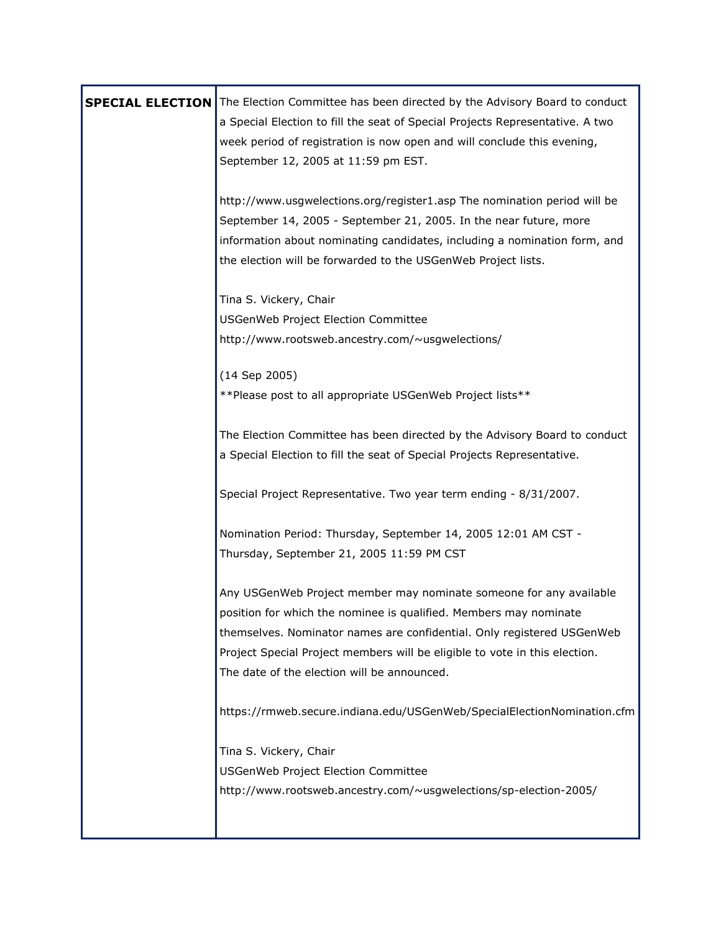| <b>SPECIAL ELECTION</b> | The Election Committee has been directed by the Advisory Board to conduct<br>a Special Election to fill the seat of Special Projects Representative. A two<br>week period of registration is now open and will conclude this evening,<br>September 12, 2005 at 11:59 pm EST.                                                                   |
|-------------------------|------------------------------------------------------------------------------------------------------------------------------------------------------------------------------------------------------------------------------------------------------------------------------------------------------------------------------------------------|
|                         | http://www.usgwelections.org/register1.asp The nomination period will be<br>September 14, 2005 - September 21, 2005. In the near future, more<br>information about nominating candidates, including a nomination form, and<br>the election will be forwarded to the USGenWeb Project lists.                                                    |
|                         | Tina S. Vickery, Chair<br>USGenWeb Project Election Committee<br>http://www.rootsweb.ancestry.com/~usgwelections/                                                                                                                                                                                                                              |
|                         | (14 Sep 2005)<br>**Please post to all appropriate USGenWeb Project lists**                                                                                                                                                                                                                                                                     |
|                         | The Election Committee has been directed by the Advisory Board to conduct<br>a Special Election to fill the seat of Special Projects Representative.                                                                                                                                                                                           |
|                         | Special Project Representative. Two year term ending - 8/31/2007.                                                                                                                                                                                                                                                                              |
|                         | Nomination Period: Thursday, September 14, 2005 12:01 AM CST -<br>Thursday, September 21, 2005 11:59 PM CST                                                                                                                                                                                                                                    |
|                         | Any USGenWeb Project member may nominate someone for any available<br>position for which the nominee is qualified. Members may nominate<br>themselves. Nominator names are confidential. Only registered USGenWeb<br>Project Special Project members will be eligible to vote in this election.<br>The date of the election will be announced. |
|                         | https://rmweb.secure.indiana.edu/USGenWeb/SpecialElectionNomination.cfm                                                                                                                                                                                                                                                                        |
|                         | Tina S. Vickery, Chair<br>USGenWeb Project Election Committee<br>http://www.rootsweb.ancestry.com/~usgwelections/sp-election-2005/                                                                                                                                                                                                             |
|                         |                                                                                                                                                                                                                                                                                                                                                |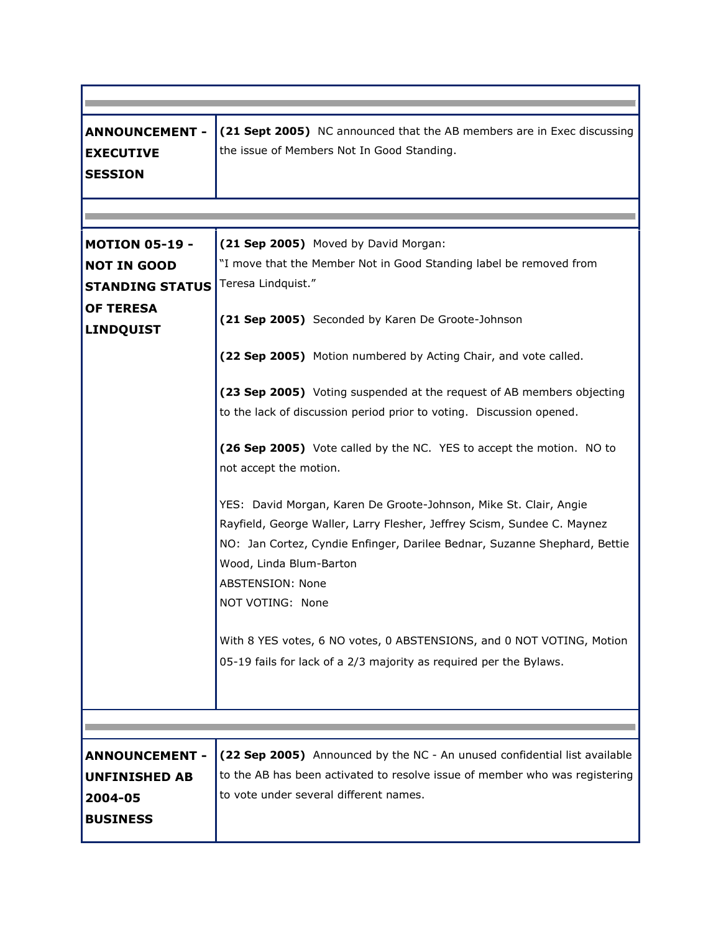| <b>ANNOUNCEMENT -</b><br><b>EXECUTIVE</b><br><b>SESSION</b>                                                   | (21 Sept 2005) NC announced that the AB members are in Exec discussing<br>the issue of Members Not In Good Standing.                                                                                                                                                                                                                                                                                                                                                                                                                                                                                                                                                                                                                                                                                                                                                                                                                                              |
|---------------------------------------------------------------------------------------------------------------|-------------------------------------------------------------------------------------------------------------------------------------------------------------------------------------------------------------------------------------------------------------------------------------------------------------------------------------------------------------------------------------------------------------------------------------------------------------------------------------------------------------------------------------------------------------------------------------------------------------------------------------------------------------------------------------------------------------------------------------------------------------------------------------------------------------------------------------------------------------------------------------------------------------------------------------------------------------------|
|                                                                                                               |                                                                                                                                                                                                                                                                                                                                                                                                                                                                                                                                                                                                                                                                                                                                                                                                                                                                                                                                                                   |
| <b>MOTION 05-19 -</b><br><b>NOT IN GOOD</b><br><b>STANDING STATUS</b><br><b>OF TERESA</b><br><b>LINDQUIST</b> | (21 Sep 2005) Moved by David Morgan:<br>"I move that the Member Not in Good Standing label be removed from<br>Teresa Lindquist."<br>(21 Sep 2005) Seconded by Karen De Groote-Johnson<br>(22 Sep 2005) Motion numbered by Acting Chair, and vote called.<br>(23 Sep 2005) Voting suspended at the request of AB members objecting<br>to the lack of discussion period prior to voting. Discussion opened.<br>(26 Sep 2005) Vote called by the NC. YES to accept the motion. NO to<br>not accept the motion.<br>YES: David Morgan, Karen De Groote-Johnson, Mike St. Clair, Angie<br>Rayfield, George Waller, Larry Flesher, Jeffrey Scism, Sundee C. Maynez<br>NO: Jan Cortez, Cyndie Enfinger, Darilee Bednar, Suzanne Shephard, Bettie<br>Wood, Linda Blum-Barton<br><b>ABSTENSION: None</b><br>NOT VOTING: None<br>With 8 YES votes, 6 NO votes, 0 ABSTENSIONS, and 0 NOT VOTING, Motion<br>05-19 fails for lack of a 2/3 majority as required per the Bylaws. |
|                                                                                                               |                                                                                                                                                                                                                                                                                                                                                                                                                                                                                                                                                                                                                                                                                                                                                                                                                                                                                                                                                                   |
| <b>ANNOUNCEMENT -</b><br><b>UNFINISHED AB</b><br>2004-05<br><b>BUSINESS</b>                                   | (22 Sep 2005) Announced by the NC - An unused confidential list available<br>to the AB has been activated to resolve issue of member who was registering<br>to vote under several different names.                                                                                                                                                                                                                                                                                                                                                                                                                                                                                                                                                                                                                                                                                                                                                                |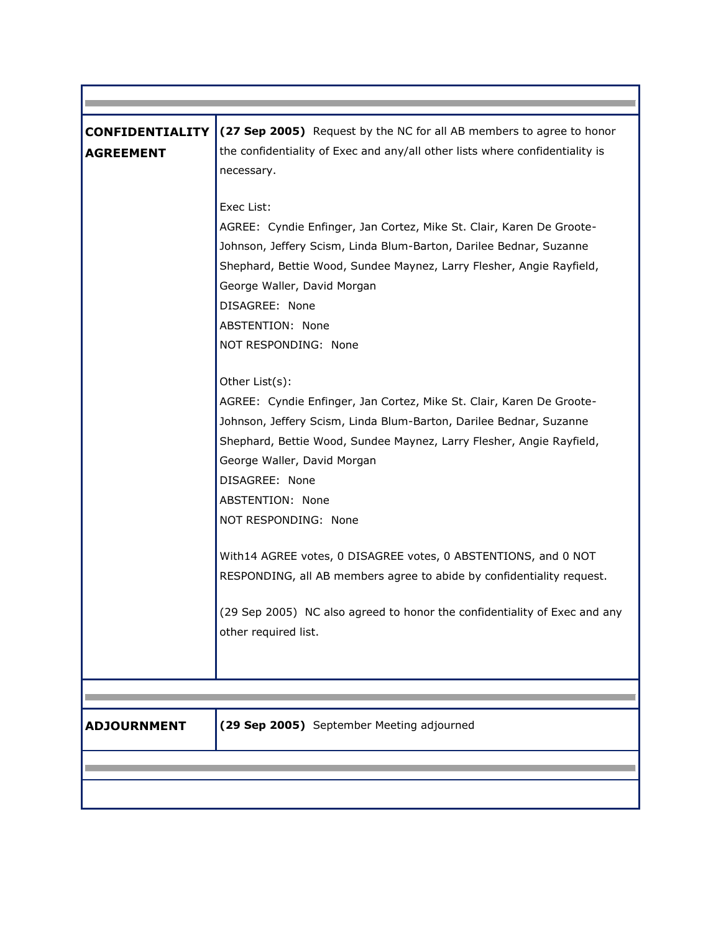| <b>CONFIDENTIALITY</b> | (27 Sep 2005) Request by the NC for all AB members to agree to honor                                                                       |
|------------------------|--------------------------------------------------------------------------------------------------------------------------------------------|
| <b>AGREEMENT</b>       | the confidentiality of Exec and any/all other lists where confidentiality is<br>necessary.                                                 |
|                        | Exec List:                                                                                                                                 |
|                        | AGREE: Cyndie Enfinger, Jan Cortez, Mike St. Clair, Karen De Groote-<br>Johnson, Jeffery Scism, Linda Blum-Barton, Darilee Bednar, Suzanne |
|                        | Shephard, Bettie Wood, Sundee Maynez, Larry Flesher, Angie Rayfield,                                                                       |
|                        | George Waller, David Morgan                                                                                                                |
|                        | DISAGREE: None                                                                                                                             |
|                        | ABSTENTION: None                                                                                                                           |
|                        | NOT RESPONDING: None                                                                                                                       |
|                        | Other List(s):                                                                                                                             |
|                        | AGREE: Cyndie Enfinger, Jan Cortez, Mike St. Clair, Karen De Groote-                                                                       |
|                        | Johnson, Jeffery Scism, Linda Blum-Barton, Darilee Bednar, Suzanne                                                                         |
|                        | Shephard, Bettie Wood, Sundee Maynez, Larry Flesher, Angie Rayfield,                                                                       |
|                        | George Waller, David Morgan                                                                                                                |
|                        | DISAGREE: None                                                                                                                             |
|                        | ABSTENTION: None                                                                                                                           |
|                        | NOT RESPONDING: None                                                                                                                       |
|                        | With14 AGREE votes, 0 DISAGREE votes, 0 ABSTENTIONS, and 0 NOT                                                                             |
|                        | RESPONDING, all AB members agree to abide by confidentiality request.                                                                      |
|                        | (29 Sep 2005) NC also agreed to honor the confidentiality of Exec and any                                                                  |
|                        | other required list.                                                                                                                       |
|                        |                                                                                                                                            |
|                        |                                                                                                                                            |
| <b>ADJOURNMENT</b>     | (29 Sep 2005) September Meeting adjourned                                                                                                  |
|                        |                                                                                                                                            |
|                        |                                                                                                                                            |